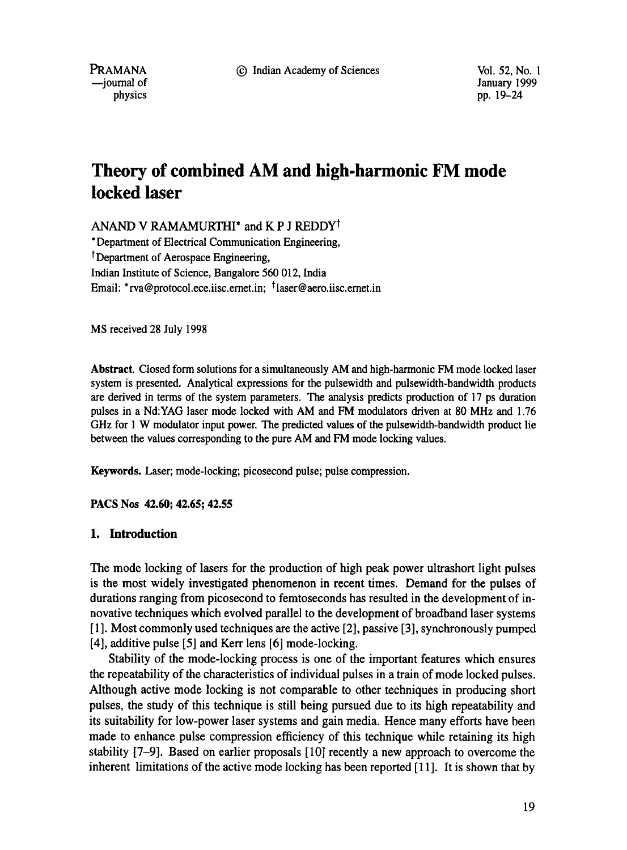9 Indian Academy of Sciences Vol. 52, No. 1

PRAMANA --joumal of physics

January 1999 pp. 19-24

# **Theory of combined AM and high-harmonic FM mode locked laser**

ANAND V RAMAMURTHI<sup>\*</sup> and K P J REDDY<sup>1</sup>

\* Department of Electrical Communication Engineering, t Department of Aerospace Engineering, Indian Institute of Science, Bangalore 560 012, India Email: \*rva@protocol.ece.iisc.emet.in; <sup>†</sup>laser@aero.iisc.emet.in

MS received 28 July 1998

**Abstract.** Closed form solutions for a simultaneously AM and high-harmonic FM mode locked laser system is presented. Analytical expressions for the pulsewidth and pulsewidth-bandwidth products are derived in terms of the system parameters. The analysis predicts production of 17 ps duration pulses in a Nd:YAG laser mode locked with AM and FM modulators driven at 80 MHz and 1.76 GHz for 1 W modulator input power. The predicted values of the pulsewidth-bandwidth product lie between the values corresponding to the pure AM and FM mode locking values.

**Keywords.** Laser; mode-locking; picosecond pulse; pulse compression.

**PACS Nos 42.60; 42.65; 42.55** 

### **1. Introduction**

The mode locking of lasers for the production of high peak power ultrashort light pulses is the most widely investigated phenomenon in recent times. Demand for the pulses of durations ranging from picosecond to femtoseconds has resulted in the development of innovative techniques which evolved parallel to the development of broadband laser systems [ 1]. Most commonly used techniques are the active [2], passive [3], synchronously pumped [4], additive pulse [5] and Kerr lens [6] mode-locking.

Stability of the mode-locking process is one of the important features which ensures the repeatability of the characteristics of individual pulses in a train of mode locked pulses. Although active mode locking is not comparable to other techniques in producing short pulses, the study of this technique is still being pursued due to its high repeatability and its suitability for low-power laser systems and gain media. Hence many efforts have been made to enhance pulse compression efficiency of this technique while retaining its high stability [7-9]. Based on earlier proposals [10] recently a new approach to overcome the inherent limitations of the active mode locking has been reported [11]. It is shown that by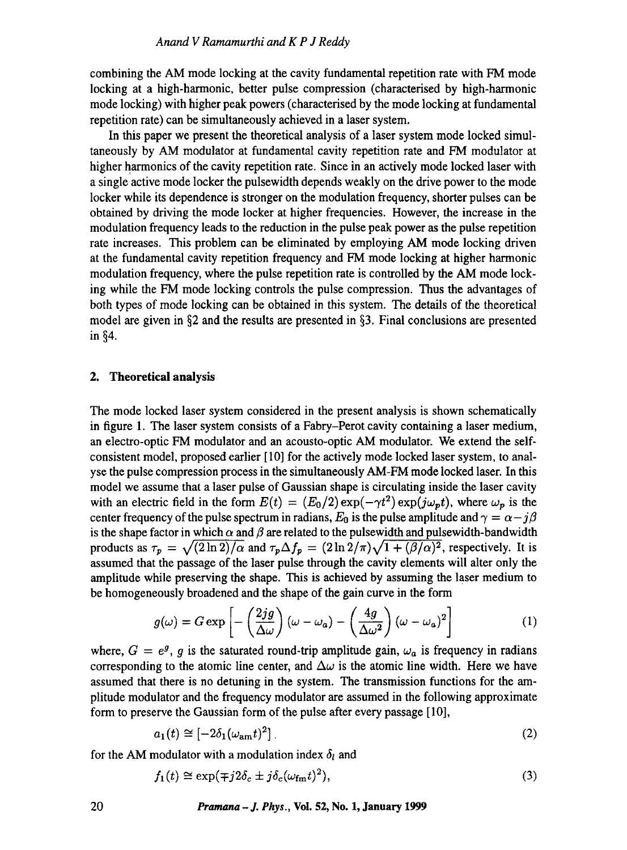combining the AM mode locking at the cavity fundamental repetition rate with FM mode locking at a high-harmonic, better pulse compression (characterised by high-harmonic mode locking) with higher peak powers (characterised by the mode locking at fundamental repetition rate) can be simultaneously achieved in a laser system.

In this paper we present the theoretical analysis of a laser system mode locked simultaneously by AM modulator at fundamental cavity repetition rate and FM modulator at higher harmonics of the cavity repetition rate. Since in an actively mode locked laser with a single active mode locker the pulsewidth depends weakly on the drive power to the mode locker while its dependence is stronger on the modulation frequency, shorter pulses can be obtained by driving the mode locker at higher frequencies. However, the increase in the modulation frequency leads to the reduction in the pulse peak power as the pulse repetition rate increases. This problem can be eliminated by employing AM mode locking driven at the fundamental cavity repetition frequency and FM mode locking at higher harmonic modulation frequency, where the pulse repetition rate is controlled by the AM mode locking while the FM mode locking controls the pulse compression. Thus the advantages of both types of mode locking can be obtained in this system. The details of the theoretical model are given in §2 and the results are presented in §3. Final conclusions are presented in  $§4$ .

#### **2. Theoretical analysis**

The mode locked laser system considered in the present analysis is shown schematically in figure 1. The laser system consists of a Fabry-Perot cavity containing a laser medium, an electro-optic FM modulator and an acousto-optic AM modulator. We extend the selfconsistent model, proposed earlier [ 10] for the actively mode locked laser system, to analyse the pulse compression process in the simultaneously AM-FM mode locked laser. In this model we assume that a laser pulse of Gaussian shape is circulating inside the laser cavity with an electric field in the form  $E(t) = (E_0/2) \exp(-\gamma t^2) \exp(j\omega_p t)$ , where  $\omega_p$  is the center frequency of the pulse spectrum in radians,  $E_0$  is the pulse amplitude and  $\gamma = \alpha - j\beta$ is the shape factor in which  $\alpha$  and  $\beta$  are related to the pulsewidth and pulsewidth-bandwidth products as  $\tau_p = \sqrt{(2 \ln 2)/\alpha}$  and  $\tau_p \Delta f_p = (2 \ln 2/\pi) \sqrt{1 + (\beta/\alpha)^2}$ , respectively. It is assumed that the passage of the laser pulse through the cavity elements will alter only the amplitude while preserving the shape. This is achieved by assuming the laser medium to be homogeneously broadened and the shape of the gain curve in the form

$$
g(\omega) = G \exp \left[ -\left(\frac{2jg}{\Delta \omega}\right) (\omega - \omega_a) - \left(\frac{4g}{\Delta \omega^2}\right) (\omega - \omega_a)^2 \right]
$$
 (1)

where,  $G = e^{g}$ , g is the saturated round-trip amplitude gain,  $\omega_a$  is frequency in radians corresponding to the atomic line center, and  $\Delta\omega$  is the atomic line width. Here we have assumed that there is no detuning in the system. The transmission functions for the amplitude modulator and the frequency modulator are assumed in the following approximate form to preserve the Gaussian form of the pulse after every passage [10],

$$
a_1(t) \cong [-2\delta_1(\omega_{\text{am}}t)^2] \tag{2}
$$

for the AM modulator with a modulation index  $\delta_l$  and

$$
f_1(t) \cong \exp(\mp j2\delta_c \pm j\delta_c(\omega_{\rm fm}t)^2),\tag{3}
$$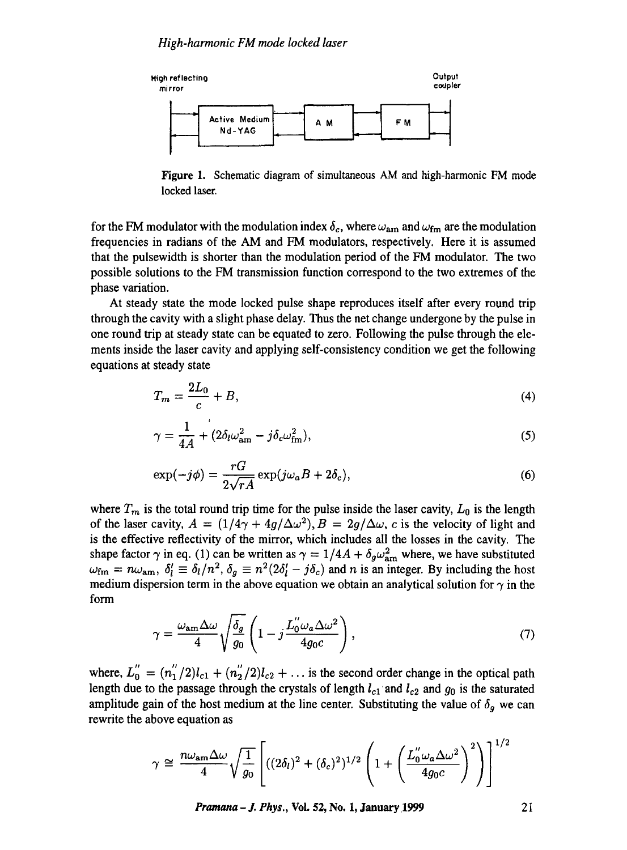

Figure 1. Schematic diagram of simultaneous AM and high-harmonic FM mode locked laser.

for the FM modulator with the modulation index  $\delta_c$ , where  $\omega_{am}$  and  $\omega_{fm}$  are the modulation frequencies in radians of the AM and FM modulators, respectively. Here it is assumed that the pulsewidth is shorter than the modulation period of the FM modulator. The two possible solutions to the FM transmission function correspond to the two extremes of the phase variation.

At steady state the mode locked pulse shape reproduces itself after every round trip through the cavity with a slight phase delay. Thus the net change undergone by the pulse in one round trip at steady state can be equated to zero. Following the pulse through the elements inside the laser cavity and applying self-consistency condition we get the following equations at steady state

$$
T_m = \frac{2L_0}{c} + B,\tag{4}
$$

$$
\gamma = \frac{1}{4A} + (2\delta_l \omega_{\rm am}^2 - j\delta_c \omega_{\rm fm}^2),\tag{5}
$$

$$
\exp(-j\phi) = \frac{rG}{2\sqrt{rA}} \exp(j\omega_a B + 2\delta_c),\tag{6}
$$

where  $T_m$  is the total round trip time for the pulse inside the laser cavity,  $L_0$  is the length of the laser cavity,  $A = (1/4\gamma + 4g/\Delta\omega^2), B = 2g/\Delta\omega, c$  is the velocity of light and is the effective reflectivity of the mirror, which includes all the losses in the cavity. The shape factor  $\gamma$  in eq. (1) can be written as  $\gamma = 1/4A + \delta_g \omega_{\text{am}}^2$  where, we have substituted  $\omega_{\rm fm} = n\omega_{\rm am}, \ \delta'_l \equiv \delta_l/n^2, \ \delta_g \equiv n^2(2\delta'_l - j\delta_c)$  and n is an integer. By including the host medium dispersion term in the above equation we obtain an analytical solution for  $\gamma$  in the form

$$
\gamma = \frac{\omega_{\text{am}} \Delta \omega}{4} \sqrt{\frac{\delta_g}{g_0}} \left( 1 - j \frac{L_0'' \omega_a \Delta \omega^2}{4g_0 c} \right),\tag{7}
$$

where,  $L_0'' = (n_1''/2)l_{c1} + (n_2''/2)l_{c2} + \ldots$  is the second order change in the optical path length due to the passage through the crystals of length  $l_{c1}$  and  $l_{c2}$  and  $g_0$  is the saturated amplitude gain of the host medium at the line center. Substituting the value of  $\delta_g$  we can rewrite the above equation as

$$
\gamma \cong \frac{n\omega_{\rm am}\Delta\omega}{4}\sqrt{\frac{1}{g_0}}\left[((2\delta_l)^2+(\delta_c)^2)^{1/2}\left(1+\left(\frac{L_0''\omega_a\Delta\omega^2}{4g_0c}\right)^2\right)\right]^{1/2}
$$

*Pramana – J. Phys., Vol. 52, No. 1, January 1999* **21**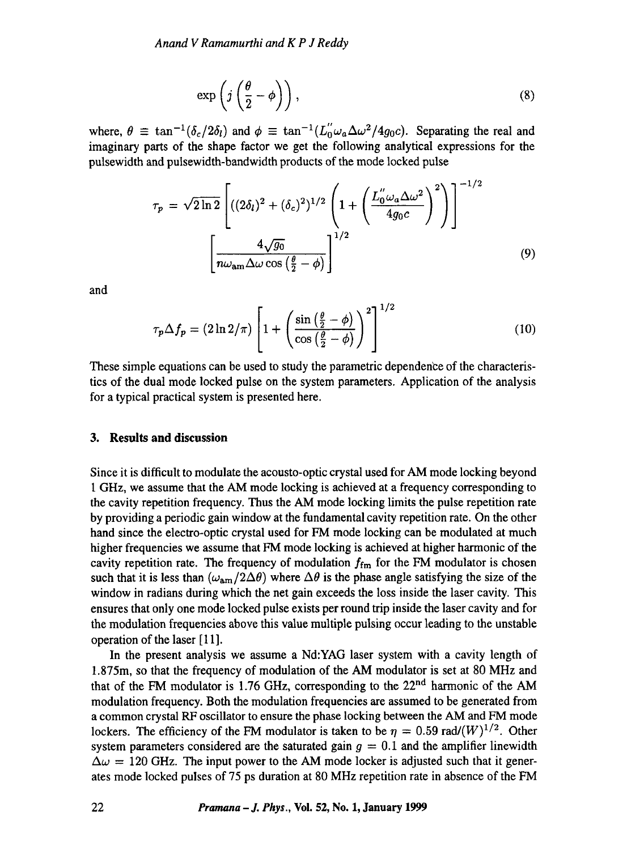$$
\exp\left(j\left(\frac{\theta}{2}-\phi\right)\right),\tag{8}
$$

where,  $\theta \equiv \tan^{-1}(\delta_c/2\delta_l)$  and  $\phi \equiv \tan^{-1}(L_0''\omega_a\Delta\omega^2/4g_0c)$ . Separating the real and imaginary parts of the shape factor we get the following analytical expressions for the pulsewidth and pulsewidth-bandwidth products of the mode locked pulse

$$
\tau_p = \sqrt{2\ln 2} \left[ ((2\delta_l)^2 + (\delta_c)^2)^{1/2} \left( 1 + \left( \frac{L_0'' \omega_a \Delta \omega^2}{4g_0 c} \right)^2 \right) \right]^{-1/2}
$$

$$
\left[ \frac{4\sqrt{g_0}}{n\omega_{\text{am}}\Delta \omega \cos\left(\frac{\theta}{2} - \phi\right)} \right]^{1/2} \tag{9}
$$

and

$$
\tau_p \Delta f_p = (2 \ln 2/\pi) \left[ 1 + \left( \frac{\sin \left( \frac{\theta}{2} - \phi \right)}{\cos \left( \frac{\theta}{2} - \phi \right)} \right)^2 \right]^{1/2} \tag{10}
$$

These simple equations can be used to study the parametric dependence of the characteristics of the dual mode locked pulse on the system parameters. Application of the analysis for a typical practical system is presented here.

#### **3. Results and discussion**

Since it is difficult to modulate the acousto-optic crystal used for AM mode locking beyond 1 GHz, we assume that the AM mode locking is achieved at a frequency corresponding to the cavity repetition frequency. Thus the AM mode locking limits the pulse repetition rate by providing a periodic gain window at the fundamental cavity repetition rate. On the other hand since the electro-optic crystal used for FM mode locking can be modulated at much higher frequencies we assume that FM mode locking is achieved at higher harmonic of the cavity repetition rate. The frequency of modulation  $f_{\text{fm}}$  for the FM modulator is chosen such that it is less than  $(\omega_{am}/2\Delta\theta)$  where  $\Delta\theta$  is the phase angle satisfying the size of the window in radians during which the net gain exceeds the loss inside the laser cavity. This ensures that only one mode locked pulse exists per round trip inside the laser cavity and for the modulation frequencies above this value multiple pulsing occur leading to the unstable operation of the laser [11].

In the present analysis we assume a Nd:YAG laser system with a cavity length of 1.875m, so that the frequency of modulation of the AM modulator is set at 80 MHz and that of the FM modulator is 1.76 GHz, corresponding to the 22<sup>nd</sup> harmonic of the AM modulation frequency. Both the modulation frequencies are assumed to be generated from a common crystal RF oscillator to ensure the phase locking between the AM and FM mode lockers. The efficiency of the FM modulator is taken to be  $\eta = 0.59$  rad/ $(W)^{1/2}$ . Other system parameters considered are the saturated gain  $g = 0.1$  and the amplifier linewidth  $\Delta\omega = 120$  GHz. The input power to the AM mode locker is adjusted such that it generates mode locked pulses of 75 ps duration at 80 MHz repetition rate in absence of the FM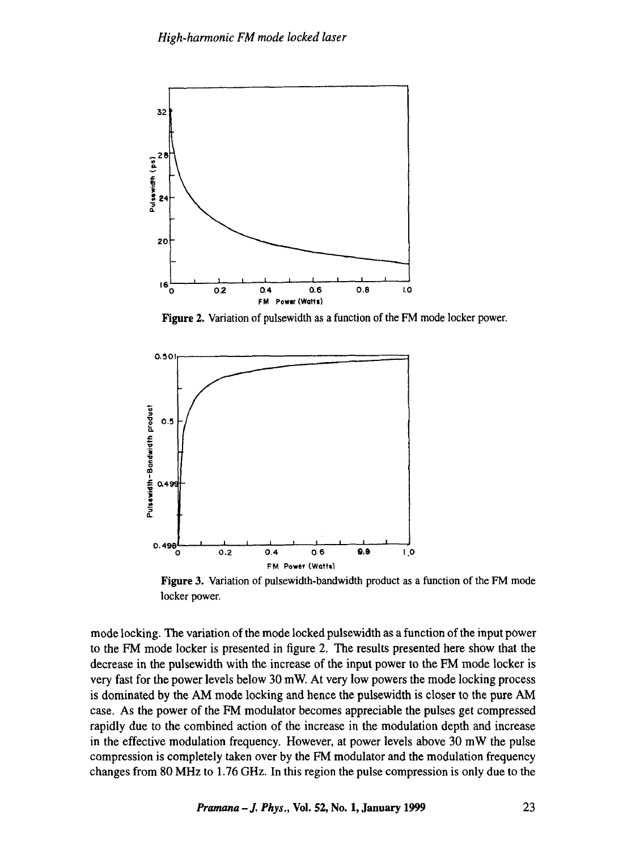

**Figure 2.** Variation of pulsewidth as a function of the FM mode locker power.



Figure 3. Variation of pulsewidth-bandwidth product as a function of the FM mode locker power.

mode locking. The variation of the mode locked pulsewidth as a function of the input power to the FM mode locker is presented in figure 2. The results presented here show that the decrease in the pulsewidth with the increase of the input power to the FM mode locker is very fast for the power levels below 30 mW. At very low powers the mode locking process is dominated by the AM mode locking and hence the pulsewidth is closer to the pure AM case. As the power of the FM modulator becomes appreciable the pulses get compressed rapidly due to the combined action of the increase in the modulation depth and increase in the effective modulation frequency. However, at power levels above 30 mW the pulse compression is completely taken over by the FM modulator and the modulation frequency changes from 80 MHz to 1.76 GHz. In this region the pulse compression is only due to the